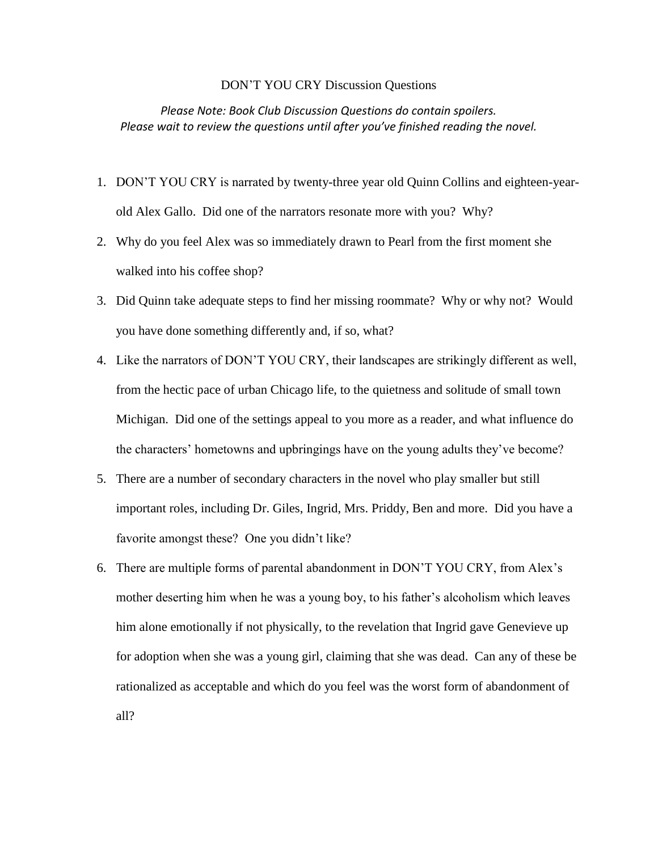## DON'T YOU CRY Discussion Questions

*Please Note: Book Club Discussion Questions do contain spoilers. Please wait to review the questions until after you've finished reading the novel.*

- 1. DON'T YOU CRY is narrated by twenty-three year old Quinn Collins and eighteen-yearold Alex Gallo. Did one of the narrators resonate more with you? Why?
- 2. Why do you feel Alex was so immediately drawn to Pearl from the first moment she walked into his coffee shop?
- 3. Did Quinn take adequate steps to find her missing roommate? Why or why not? Would you have done something differently and, if so, what?
- 4. Like the narrators of DON'T YOU CRY, their landscapes are strikingly different as well, from the hectic pace of urban Chicago life, to the quietness and solitude of small town Michigan. Did one of the settings appeal to you more as a reader, and what influence do the characters' hometowns and upbringings have on the young adults they've become?
- 5. There are a number of secondary characters in the novel who play smaller but still important roles, including Dr. Giles, Ingrid, Mrs. Priddy, Ben and more. Did you have a favorite amongst these? One you didn't like?
- 6. There are multiple forms of parental abandonment in DON'T YOU CRY, from Alex's mother deserting him when he was a young boy, to his father's alcoholism which leaves him alone emotionally if not physically, to the revelation that Ingrid gave Genevieve up for adoption when she was a young girl, claiming that she was dead. Can any of these be rationalized as acceptable and which do you feel was the worst form of abandonment of all?